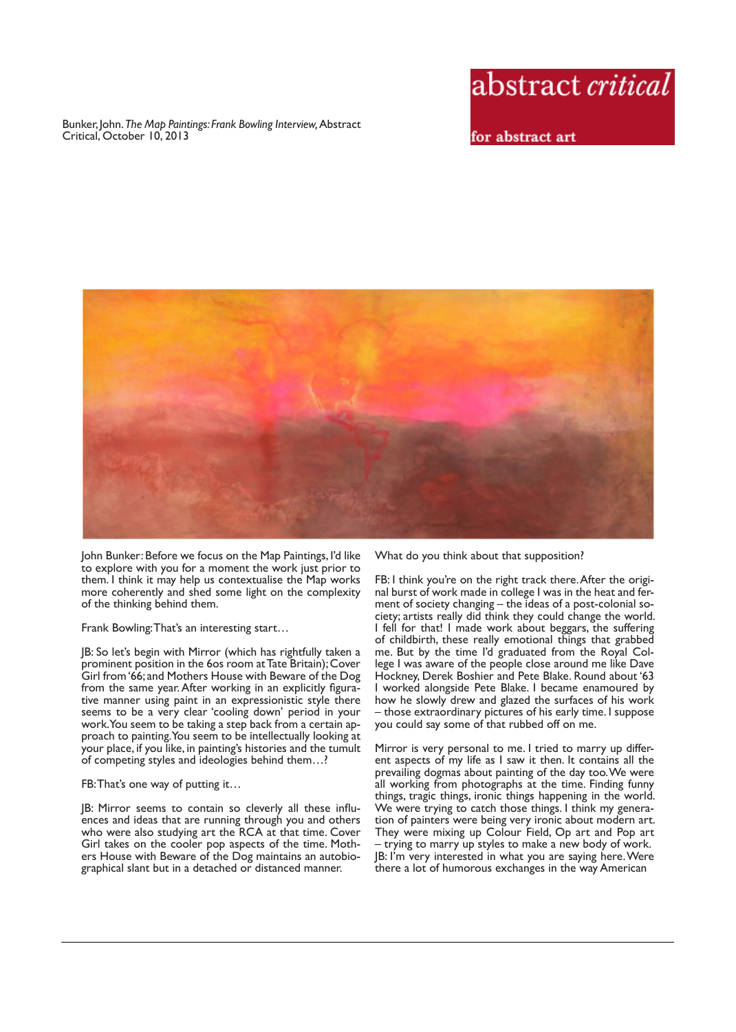Bunker, John. *The Map Paintings: Frank Bowling Interview,* Abstract Critical, October 10, 2013



for abstract art



John Bunker: Before we focus on the Map Paintings, I'd like to explore with you for a moment the work just prior to them. I think it may help us contextualise the Map works more coherently and shed some light on the complexity of the thinking behind them.

Frank Bowling: That's an interesting start…

JB: So let's begin with Mirror (which has rightfully taken a prominent position in the 6os room at Tate Britain); Cover Girl from '66; and Mothers House with Beware of the Dog from the same year. After working in an explicitly figurative manner using paint in an expressionistic style there seems to be a very clear 'cooling down' period in your work. You seem to be taking a step back from a certain approach to painting. You seem to be intellectually looking at your place, if you like, in painting's histories and the tumult of competing styles and ideologies behind them…?

## FB: That's one way of putting it…

JB: Mirror seems to contain so cleverly all these influences and ideas that are running through you and others who were also studying art the RCA at that time. Cover Girl takes on the cooler pop aspects of the time. Mothers House with Beware of the Dog maintains an autobiographical slant but in a detached or distanced manner.

What do you think about that supposition?

FB: I think you're on the right track there. After the original burst of work made in college I was in the heat and ferment of society changing – the ideas of a post-colonial society; artists really did think they could change the world. I fell for that! I made work about beggars, the suffering of childbirth, these really emotional things that grabbed me. But by the time I'd graduated from the Royal College I was aware of the people close around me like Dave Hockney, Derek Boshier and Pete Blake. Round about '63 I worked alongside Pete Blake. I became enamoured by how he slowly drew and glazed the surfaces of his work – those extraordinary pictures of his early time. I suppose you could say some of that rubbed off on me.

Mirror is very personal to me. I tried to marry up different aspects of my life as I saw it then. It contains all the prevailing dogmas about painting of the day too. We were all working from photographs at the time. Finding funny things, tragic things, ironic things happening in the world. We were trying to catch those things. I think my generation of painters were being very ironic about modern art. They were mixing up Colour Field, Op art and Pop art – trying to marry up styles to make a new body of work. JB: I'm very interested in what you are saying here. Were there a lot of humorous exchanges in the way American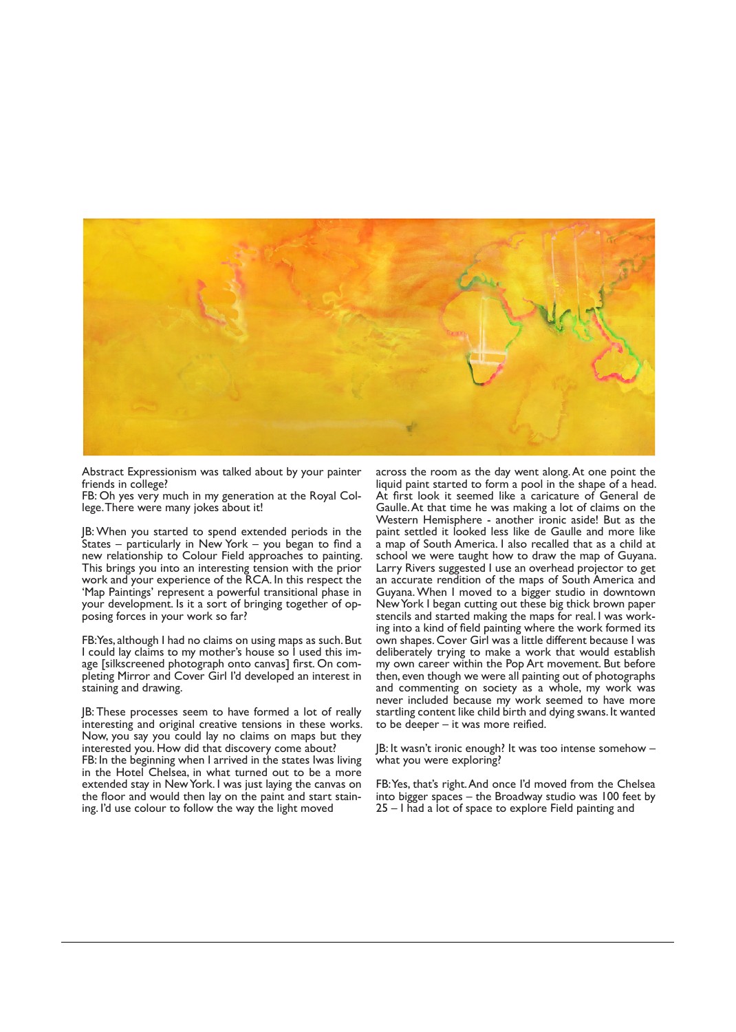

Abstract Expressionism was talked about by your painter friends in college?

FB: Oh yes very much in my generation at the Royal College. There were many jokes about it!

JB: When you started to spend extended periods in the States – particularly in New York – you began to find a new relationship to Colour Field approaches to painting. This brings you into an interesting tension with the prior work and your experience of the RCA. In this respect the 'Map Paintings' represent a powerful transitional phase in your development. Is it a sort of bringing together of opposing forces in your work so far?

FB: Yes, although I had no claims on using maps as such. But I could lay claims to my mother's house so I used this image [silkscreened photograph onto canvas] first. On completing Mirror and Cover Girl I'd developed an interest in staining and drawing.

JB: These processes seem to have formed a lot of really interesting and original creative tensions in these works. Now, you say you could lay no claims on maps but they interested you. How did that discovery come about? FB: In the beginning when I arrived in the states Iwas living in the Hotel Chelsea, in what turned out to be a more extended stay in New York. I was just laying the canvas on the floor and would then lay on the paint and start staining. I'd use colour to follow the way the light moved

across the room as the day went along. At one point the liquid paint started to form a pool in the shape of a head. At first look it seemed like a caricature of General de Gaulle. At that time he was making a lot of claims on the Western Hemisphere - another ironic aside! But as the paint settled it looked less like de Gaulle and more like a map of South America. I also recalled that as a child at school we were taught how to draw the map of Guyana. Larry Rivers suggested I use an overhead projector to get an accurate rendition of the maps of South America and Guyana. When I moved to a bigger studio in downtown New York I began cutting out these big thick brown paper stencils and started making the maps for real. I was working into a kind of field painting where the work formed its own shapes. Cover Girl was a little different because I was deliberately trying to make a work that would establish my own career within the Pop Art movement. But before then, even though we were all painting out of photographs and commenting on society as a whole, my work was never included because my work seemed to have more startling content like child birth and dying swans. It wanted to be deeper – it was more reified.

JB: It wasn't ironic enough? It was too intense somehow – what you were exploring?

FB: Yes, that's right. And once I'd moved from the Chelsea into bigger spaces – the Broadway studio was 100 feet by 25 – I had a lot of space to explore Field painting and